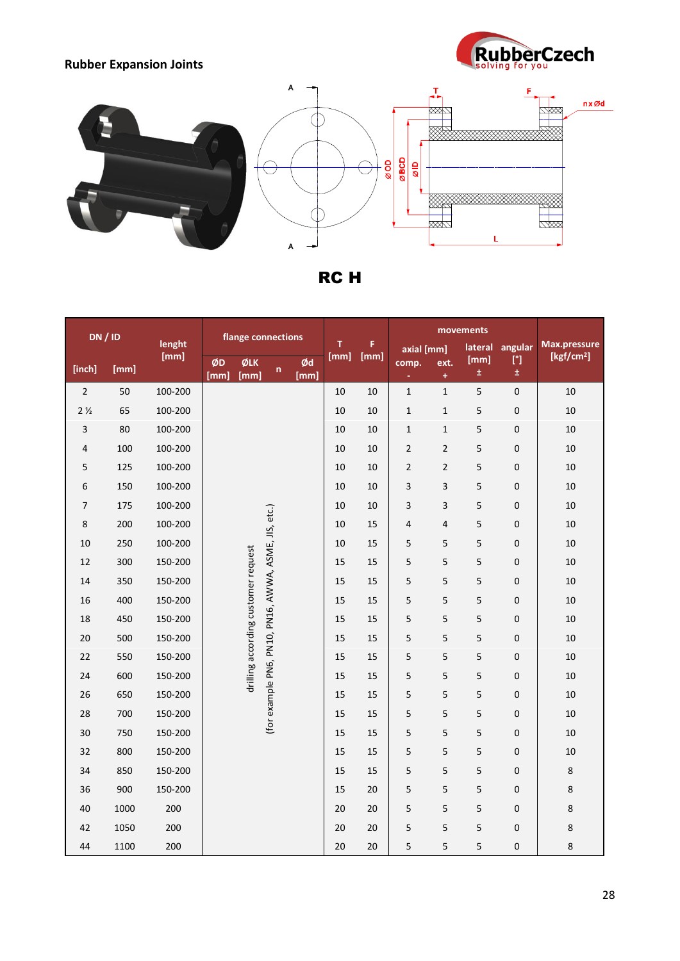



RC H

| <b>DN / ID</b>          |      |                | flange connections |                                     |                                                      |            |           |            |                |                 |               |                         |                                        |
|-------------------------|------|----------------|--------------------|-------------------------------------|------------------------------------------------------|------------|-----------|------------|----------------|-----------------|---------------|-------------------------|----------------------------------------|
|                         |      | lenght<br>[mm] |                    |                                     |                                                      |            | т<br>[mm] | F.<br>[mm] |                | axial [mm]      |               | angular<br>$[^{\circ}]$ | Max.pressure<br>[kgf/cm <sup>2</sup> ] |
| [inch]                  | [mm] |                | ØD<br>[mm]         | ØLK<br>[mm]                         | n                                                    | Ød<br>[mm] |           |            | comp.          | ext.<br>$\ddag$ | [mm]<br>$\pm$ | ±.                      |                                        |
| $\overline{2}$          | 50   | 100-200        |                    |                                     |                                                      |            | 10        | 10         | $\mathbf 1$    | $\mathbf 1$     | 5             | $\pmb{0}$               | 10                                     |
| 2 <sub>2</sub>          | 65   | 100-200        |                    |                                     |                                                      |            | 10        | 10         | $\mathbf 1$    | $\mathbf 1$     | 5             | $\pmb{0}$               | 10                                     |
| $\overline{\mathbf{3}}$ | 80   | 100-200        |                    |                                     |                                                      |            | 10        | 10         | $\mathbf 1$    | $\mathbf 1$     | 5             | $\mathbf 0$             | 10                                     |
| 4                       | 100  | 100-200        |                    |                                     |                                                      |            | 10        | 10         | $\overline{2}$ | $\overline{2}$  | 5             | 0                       | 10                                     |
| 5                       | 125  | 100-200        |                    |                                     |                                                      |            | 10        | 10         | $\mathbf 2$    | $\overline{2}$  | 5             | 0                       | $10\,$                                 |
| 6                       | 150  | 100-200        |                    |                                     |                                                      |            | 10        | 10         | 3              | 3               | 5             | $\boldsymbol{0}$        | $10\,$                                 |
| 7                       | 175  | 100-200        |                    |                                     |                                                      |            | 10        | 10         | 3              | 3               | 5             | 0                       | 10                                     |
| 8                       | 200  | 100-200        |                    |                                     |                                                      |            | 10        | 15         | $\sqrt{4}$     | 4               | 5             | 0                       | 10                                     |
| 10                      | 250  | 100-200        |                    |                                     | (for example PN6, PN10, PN16, AWWA, ASME, JIS, etc.) |            | 10        | 15         | 5              | 5               | 5             | $\mathbf 0$             | 10                                     |
| 12                      | 300  | 150-200        |                    |                                     |                                                      |            | 15        | 15         | 5              | $\overline{5}$  | 5             | $\boldsymbol{0}$        | 10                                     |
| 14                      | 350  | 150-200        |                    |                                     |                                                      |            | 15        | 15         | 5              | $\sqrt{5}$      | 5             | 0                       | 10                                     |
| 16                      | 400  | 150-200        |                    |                                     |                                                      |            | 15        | 15         | 5              | 5               | 5             | $\boldsymbol{0}$        | $10\,$                                 |
| 18                      | 450  | 150-200        |                    | drilling according customer request |                                                      |            | 15        | 15         | 5              | 5               | 5             | 0                       | 10                                     |
| 20                      | 500  | 150-200        |                    |                                     |                                                      |            | 15        | 15         | 5              | 5               | 5             | $\boldsymbol{0}$        | 10                                     |
| 22                      | 550  | 150-200        |                    |                                     |                                                      |            | 15        | 15         | 5              | 5               | 5             | $\boldsymbol{0}$        | $10\,$                                 |
| 24                      | 600  | 150-200        |                    |                                     |                                                      |            | 15        | 15         | 5              | 5               | 5             | 0                       | 10                                     |
| 26                      | 650  | 150-200        |                    |                                     |                                                      |            | 15        | 15         | 5              | 5               | 5             | $\mathbf 0$             | 10                                     |
| 28                      | 700  | 150-200        |                    |                                     |                                                      |            | 15        | 15         | 5              | 5               | 5             | 0                       | 10                                     |
| 30                      | 750  | 150-200        |                    |                                     |                                                      |            | 15        | 15         | 5              | $\sqrt{5}$      | 5             | 0                       | 10                                     |
| 32                      | 800  | 150-200        |                    |                                     |                                                      |            | 15        | 15         | 5              | 5               | 5             | $\mathbf 0$             | 10                                     |
| 34                      | 850  | 150-200        |                    |                                     |                                                      |            | 15        | 15         | 5              | $\sqrt{5}$      | 5             | 0                       | 8                                      |
| 36                      | 900  | 150-200        |                    |                                     |                                                      |            | 15        | 20         | 5              | $\sqrt{5}$      | 5             | 0                       | 8                                      |
| 40                      | 1000 | 200            |                    |                                     |                                                      |            | 20        | 20         | 5              | $\sqrt{5}$      | $\mathsf S$   | $\boldsymbol{0}$        | 8                                      |
| 42                      | 1050 | 200            |                    |                                     |                                                      |            | 20        | 20         | 5              | 5               | 5             | 0                       | 8                                      |
| 44                      | 1100 | 200            |                    |                                     |                                                      |            | 20        | 20         | 5              | 5               | 5             | $\mathbf 0$             | 8                                      |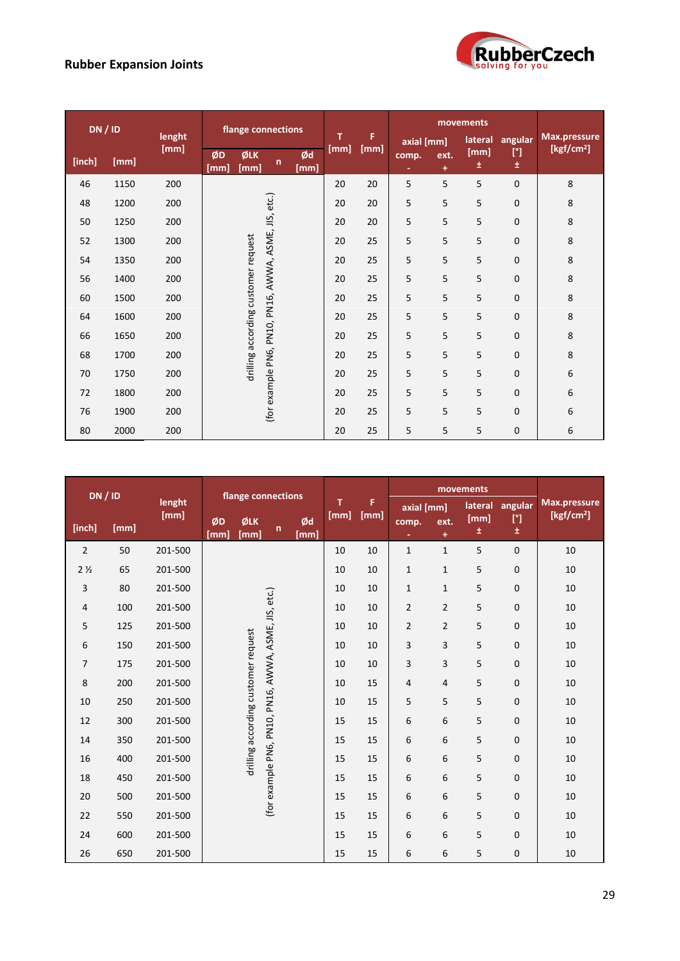

| DN / ID |      | lenght |            |                                     | flange connections           |            | т    | F    | axial [mm] | Max.pressure |           |                   |                        |
|---------|------|--------|------------|-------------------------------------|------------------------------|------------|------|------|------------|--------------|-----------|-------------------|------------------------|
| [inch]  | [mm] | [mm]   | ØD<br>[mm] | ØLK<br>[mm]                         | n                            | Ød<br>[mm] | [mm] | [mm] | comp.      | ext.<br>÷    | [mm]<br>士 | $[^{\circ}]$<br>Ŧ | [kgf/cm <sup>2</sup> ] |
| 46      | 1150 | 200    |            |                                     |                              |            | 20   | 20   | 5          | 5            | 5         | $\mathbf{0}$      | 8                      |
| 48      | 1200 | 200    |            |                                     |                              |            | 20   | 20   | 5          | 5            | 5         | 0                 | 8                      |
| 50      | 1250 | 200    |            |                                     |                              |            | 20   | 20   | 5          | 5            | 5         | 0                 | 8                      |
| 52      | 1300 | 200    |            |                                     |                              |            | 20   | 25   | 5          | 5            | 5         | 0                 | 8                      |
| 54      | 1350 | 200    |            | drilling according customer request |                              |            | 20   | 25   | 5          | 5            | 5         | $\mathbf 0$       | 8                      |
| 56      | 1400 | 200    |            |                                     | PN16, AWWA, ASME, JIS, etc.) |            | 20   | 25   | 5          | 5            | 5         | $\mathbf 0$       | 8                      |
| 60      | 1500 | 200    |            |                                     |                              |            | 20   | 25   | 5          | 5            | 5         | 0                 | 8                      |
| 64      | 1600 | 200    |            |                                     |                              |            | 20   | 25   | 5          | 5            | 5         | 0                 | 8                      |
| 66      | 1650 | 200    |            |                                     |                              |            | 20   | 25   | 5          | 5            | 5         | 0                 | 8                      |
| 68      | 1700 | 200    |            |                                     |                              |            | 20   | 25   | 5          | 5            | 5         | $\mathbf 0$       | 8                      |
| 70      | 1750 | 200    |            |                                     |                              |            | 20   | 25   | 5          | 5            | 5         | $\mathbf{0}$      | 6                      |
| 72      | 1800 | 200    |            |                                     |                              |            | 20   | 25   | 5          | 5            | 5         | 0                 | 6                      |
| 76      | 1900 | 200    |            |                                     | (for example PN6, PN10,      |            | 20   | 25   | 5          | 5            | 5         | 0                 | 6                      |
| 80      | 2000 | 200    |            |                                     |                              |            | 20   | 25   | 5          | 5            | 5         | 0                 | 6                      |

| DN / ID        |      | lenght  | flange connections                  |             |                                                      | т          | F    | movements |                          |                |                      | Max.pressure                     |                     |
|----------------|------|---------|-------------------------------------|-------------|------------------------------------------------------|------------|------|-----------|--------------------------|----------------|----------------------|----------------------------------|---------------------|
| [inch]         | [mm] | [mm]    | ØD<br>[mm]                          | ØLK<br>[mm] | $\mathsf{n}$                                         | Ød<br>[mm] | [mm] | [mm]      | axial [mm]<br>comp.<br>٠ | ext.<br>÷      | lateral<br>[mm]<br>Ŧ | angular<br>$[^{\circ}]$<br>$\pm$ | $\sqrt{[kgf/cm^2]}$ |
| $\overline{2}$ | 50   | 201-500 |                                     |             |                                                      |            | 10   | 10        | $\mathbf{1}$             | $\mathbf{1}$   | 5                    | $\mathbf 0$                      | 10                  |
| 2 <sub>2</sub> | 65   | 201-500 |                                     |             |                                                      |            | 10   | 10        | $\mathbf{1}$             | $\mathbf{1}$   | 5                    | $\mathbf 0$                      | 10                  |
| 3              | 80   | 201-500 |                                     |             |                                                      |            | 10   | 10        | $\mathbf{1}$             | $\mathbf{1}$   | 5                    | $\mathbf 0$                      | 10                  |
| 4              | 100  | 201-500 |                                     |             |                                                      |            | 10   | 10        | $\overline{2}$           | $\overline{2}$ | 5                    | $\mathbf 0$                      | 10                  |
| 5              | 125  | 201-500 |                                     |             |                                                      |            | 10   | 10        | $\overline{2}$           | $\overline{2}$ | 5                    | $\mathbf 0$                      | 10                  |
| 6              | 150  | 201-500 | drilling according customer request |             |                                                      |            | 10   | 10        | 3                        | 3              | 5                    | $\mathbf 0$                      | 10                  |
| 7              | 175  | 201-500 |                                     |             |                                                      |            | 10   | 10        | 3                        | 3              | 5                    | $\mathbf 0$                      | 10                  |
| 8              | 200  | 201-500 |                                     |             |                                                      |            | 10   | 15        | $\sqrt{4}$               | 4              | 5                    | $\mathbf 0$                      | 10                  |
| 10             | 250  | 201-500 |                                     |             | (for example PN6, PN10, PN16, AWWA, ASME, JIS, etc.) |            | 10   | 15        | 5                        | 5              | 5                    | $\mathbf 0$                      | 10                  |
| 12             | 300  | 201-500 |                                     |             |                                                      |            | 15   | 15        | 6                        | 6              | 5                    | $\mathbf 0$                      | 10                  |
| 14             | 350  | 201-500 |                                     |             |                                                      |            | 15   | 15        | 6                        | 6              | 5                    | $\mathbf 0$                      | 10                  |
| 16             | 400  | 201-500 |                                     |             |                                                      |            | 15   | 15        | 6                        | 6              | 5                    | $\mathbf 0$                      | 10                  |
| 18             | 450  | 201-500 |                                     |             |                                                      |            | 15   | 15        | 6                        | 6              | 5                    | $\mathbf 0$                      | 10                  |
| 20             | 500  | 201-500 |                                     |             |                                                      |            | 15   | 15        | 6                        | 6              | 5                    | $\mathbf 0$                      | 10                  |
| 22             | 550  | 201-500 |                                     |             |                                                      |            | 15   | 15        | 6                        | 6              | 5                    | $\mathbf 0$                      | 10                  |
| 24             | 600  | 201-500 |                                     |             |                                                      |            | 15   | 15        | 6                        | 6              | 5                    | $\mathbf 0$                      | 10                  |
| 26             | 650  | 201-500 |                                     |             |                                                      |            | 15   | 15        | 6                        | 6              | 5                    | $\mathbf 0$                      | 10                  |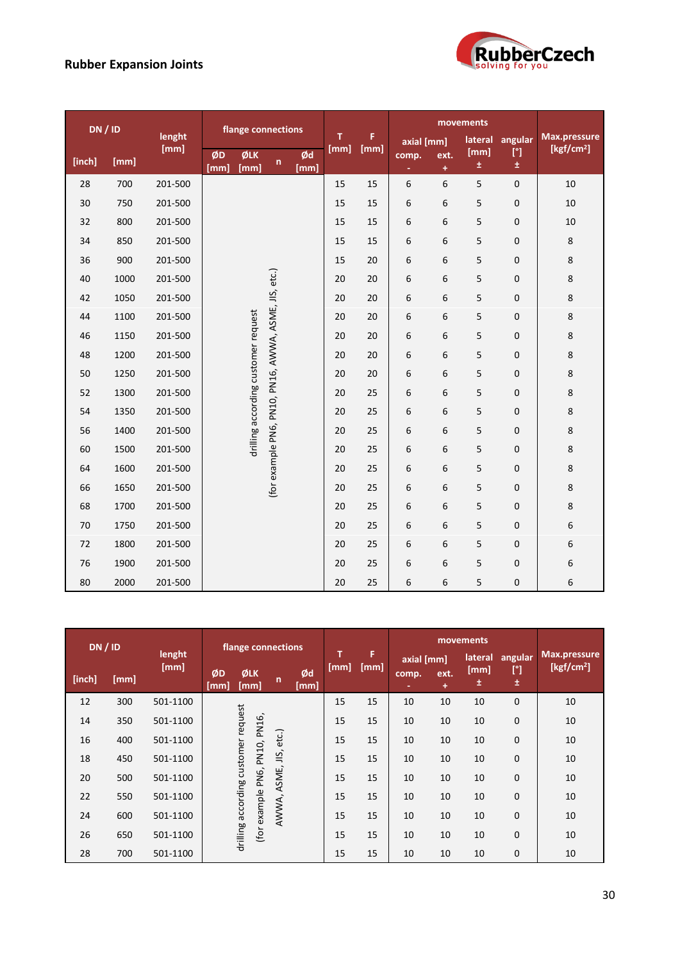

| DN / ID |      | lenght  | flange connections |                                     |                                                      |            | T    | F    |                          | movements     | Max.pressure             |                               |                     |
|---------|------|---------|--------------------|-------------------------------------|------------------------------------------------------|------------|------|------|--------------------------|---------------|--------------------------|-------------------------------|---------------------|
| [inch]  | [mm] | [mm]    | ØD<br>[mm]         | ØLK<br>[mm]                         | n                                                    | Ød<br>[mm] | [mm] | [mm] | axial [mm]<br>comp.<br>÷ | ext.<br>$\pm$ | lateral<br>[mm]<br>$\pm$ | angular<br>$[^{\circ}]$<br>±. | $\sqrt{[kgf/cm^2]}$ |
| 28      | 700  | 201-500 |                    |                                     |                                                      |            | 15   | 15   | 6                        | 6             | 5                        | $\pmb{0}$                     | 10                  |
| 30      | 750  | 201-500 |                    |                                     |                                                      |            | 15   | 15   | 6                        | 6             | 5                        | 0                             | 10                  |
| 32      | 800  | 201-500 |                    |                                     |                                                      |            | 15   | 15   | 6                        | 6             | 5                        | 0                             | 10                  |
| 34      | 850  | 201-500 |                    |                                     |                                                      |            | 15   | 15   | 6                        | 6             | 5                        | 0                             | 8                   |
| 36      | 900  | 201-500 |                    |                                     |                                                      |            | 15   | 20   | 6                        | 6             | 5                        | 0                             | 8                   |
| 40      | 1000 | 201-500 |                    |                                     |                                                      |            | 20   | 20   | 6                        | 6             | 5                        | 0                             | 8                   |
| 42      | 1050 | 201-500 |                    |                                     |                                                      |            | 20   | 20   | 6                        | 6             | 5                        | 0                             | 8                   |
| 44      | 1100 | 201-500 |                    |                                     |                                                      |            | 20   | 20   | 6                        | 6             | 5                        | 0                             | 8                   |
| 46      | 1150 | 201-500 |                    |                                     |                                                      |            | 20   | 20   | 6                        | 6             | 5                        | 0                             | 8                   |
| 48      | 1200 | 201-500 |                    |                                     |                                                      |            | 20   | 20   | 6                        | 6             | 5                        | 0                             | 8                   |
| 50      | 1250 | 201-500 |                    |                                     |                                                      |            | 20   | 20   | 6                        | 6             | 5                        | 0                             | 8                   |
| 52      | 1300 | 201-500 |                    |                                     |                                                      |            | 20   | 25   | 6                        | 6             | 5                        | 0                             | 8                   |
| 54      | 1350 | 201-500 |                    | drilling according customer request |                                                      |            | 20   | 25   | 6                        | 6             | 5                        | 0                             | 8                   |
| 56      | 1400 | 201-500 |                    |                                     |                                                      |            | 20   | 25   | 6                        | 6             | 5                        | 0                             | 8                   |
| 60      | 1500 | 201-500 |                    |                                     | (for example PN6, PN10, PN16, AWWA, ASME, JIS, etc.) |            | 20   | 25   | 6                        | 6             | 5                        | 0                             | 8                   |
| 64      | 1600 | 201-500 |                    |                                     |                                                      |            | 20   | 25   | 6                        | 6             | 5                        | 0                             | 8                   |
| 66      | 1650 | 201-500 |                    |                                     |                                                      |            | 20   | 25   | 6                        | 6             | 5                        | 0                             | 8                   |
| 68      | 1700 | 201-500 |                    |                                     |                                                      |            | 20   | 25   | 6                        | 6             | 5                        | 0                             | 8                   |
| 70      | 1750 | 201-500 |                    |                                     |                                                      |            | 20   | 25   | 6                        | 6             | 5                        | 0                             | 6                   |
| 72      | 1800 | 201-500 |                    |                                     |                                                      |            | 20   | 25   | 6                        | 6             | 5                        | 0                             | 6                   |
| 76      | 1900 | 201-500 |                    |                                     |                                                      |            | 20   | 25   | 6                        | 6             | 5                        | 0                             | 6                   |
| 80      | 2000 | 201-500 |                    |                                     |                                                      |            | 20   | 25   | 6                        | 6             | 5                        | 0                             | 6                   |

| DN/ID  |      |                | flange connections |                                     |                                                         |              |    |            |           |           |                     |             |                      |                              |                               |
|--------|------|----------------|--------------------|-------------------------------------|---------------------------------------------------------|--------------|----|------------|-----------|-----------|---------------------|-------------|----------------------|------------------------------|-------------------------------|
| [inch] | [mm] | lenght<br>[mm] |                    | ØD<br>[mm]                          | ØLK<br>[mm]                                             | $\mathsf{n}$ |    | Ød<br>[mm] | π<br>[mm] | F<br>[mm] | axial [mm]<br>comp. | ext.<br>$+$ | lateral<br>[mm]<br>土 | angular<br>$[^{\circ}]$<br>Ŧ | Max.pressure<br>[ $kgf/cm2$ ] |
| 12     | 300  | 501-1100       |                    | drilling according customer request |                                                         |              |    | 15         | 15        | 10        | 10                  | 10          | $\mathbf 0$          | 10                           |                               |
| 14     | 350  | 501-1100       |                    |                                     |                                                         |              |    | 15         | 15        | 10        | 10                  | 10          | $\mathbf 0$          | 10                           |                               |
| 16     | 400  | 501-1100       |                    |                                     | (for example PN6, PN10, PN16,<br>AWWA, ASME, JIS, etc.) |              |    | 15         | 15        | 10        | 10                  | 10          | $\mathbf 0$          | 10                           |                               |
| 18     | 450  | 501-1100       |                    |                                     |                                                         |              |    | 15         | 15        | 10        | 10                  | 10          | $\mathbf 0$          | 10                           |                               |
| 20     | 500  | 501-1100       |                    |                                     |                                                         |              |    | 15         | 15        | 10        | 10                  | 10          | $\mathbf 0$          | 10                           |                               |
| 22     | 550  | 501-1100       |                    |                                     |                                                         |              |    | 15         | 15        | 10        | 10                  | 10          | $\mathbf 0$          | 10                           |                               |
| 24     | 600  | 501-1100       |                    |                                     |                                                         |              | 15 | 15         | 10        | 10        | 10                  | 0           | 10                   |                              |                               |
| 26     | 650  | 501-1100       |                    |                                     |                                                         |              |    | 15         | 15        | 10        | 10                  | 10          | 0                    | 10                           |                               |
| 28     | 700  | 501-1100       |                    |                                     |                                                         |              |    | 15         | 15        | 10        | 10                  | 10          | 0                    | 10                           |                               |